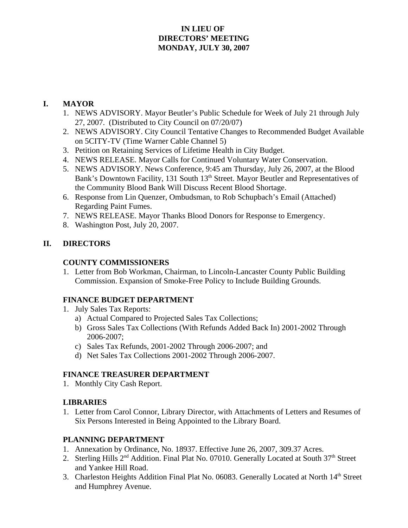## **IN LIEU OF DIRECTORS' MEETING MONDAY, JULY 30, 2007**

# **I. MAYOR**

- 1. NEWS ADVISORY. Mayor Beutler's Public Schedule for Week of July 21 through July 27, 2007. (Distributed to City Council on 07/20/07)
- 2. NEWS ADVISORY. City Council Tentative Changes to Recommended Budget Available on 5CITY-TV (Time Warner Cable Channel 5)
- 3. Petition on Retaining Services of Lifetime Health in City Budget.
- 4. NEWS RELEASE. Mayor Calls for Continued Voluntary Water Conservation.
- 5. NEWS ADVISORY. News Conference, 9:45 am Thursday, July 26, 2007, at the Blood Bank's Downtown Facility, 131 South 13<sup>th</sup> Street. Mayor Beutler and Representatives of the Community Blood Bank Will Discuss Recent Blood Shortage.
- 6. Response from Lin Quenzer, Ombudsman, to Rob Schupbach's Email (Attached) Regarding Paint Fumes.
- 7. NEWS RELEASE. Mayor Thanks Blood Donors for Response to Emergency.
- 8. Washington Post, July 20, 2007.

# **II. DIRECTORS**

### **COUNTY COMMISSIONERS**

1. Letter from Bob Workman, Chairman, to Lincoln-Lancaster County Public Building Commission. Expansion of Smoke-Free Policy to Include Building Grounds.

### **FINANCE BUDGET DEPARTMENT**

- 1. July Sales Tax Reports:
	- a) Actual Compared to Projected Sales Tax Collections;
	- b) Gross Sales Tax Collections (With Refunds Added Back In) 2001-2002 Through 2006-2007;
	- c) Sales Tax Refunds, 2001-2002 Through 2006-2007; and
	- d) Net Sales Tax Collections 2001-2002 Through 2006-2007.

# **FINANCE TREASURER DEPARTMENT**

1. Monthly City Cash Report.

# **LIBRARIES**

1. Letter from Carol Connor, Library Director, with Attachments of Letters and Resumes of Six Persons Interested in Being Appointed to the Library Board.

### **PLANNING DEPARTMENT**

- 1. Annexation by Ordinance, No. 18937. Effective June 26, 2007, 309.37 Acres.
- 2. Sterling Hills 2<sup>nd</sup> Addition. Final Plat No. 07010. Generally Located at South 37<sup>th</sup> Street and Yankee Hill Road.
- 3. Charleston Heights Addition Final Plat No. 06083. Generally Located at North 14<sup>th</sup> Street and Humphrey Avenue.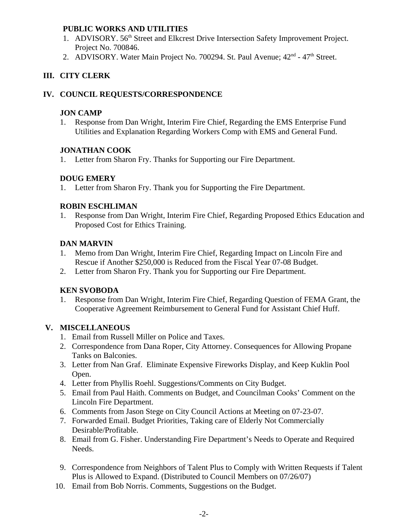### **PUBLIC WORKS AND UTILITIES**

- 1. ADVISORY. 56<sup>th</sup> Street and Elkcrest Drive Intersection Safety Improvement Project. Project No. 700846.
- 2. ADVISORY. Water Main Project No. 700294. St. Paul Avenue; 42<sup>nd</sup> 47<sup>th</sup> Street.

## **III. CITY CLERK**

### **IV. COUNCIL REQUESTS/CORRESPONDENCE**

#### **JON CAMP**

1. Response from Dan Wright, Interim Fire Chief, Regarding the EMS Enterprise Fund Utilities and Explanation Regarding Workers Comp with EMS and General Fund.

### **JONATHAN COOK**

1. Letter from Sharon Fry. Thanks for Supporting our Fire Department.

### **DOUG EMERY**

1. Letter from Sharon Fry. Thank you for Supporting the Fire Department.

### **ROBIN ESCHLIMAN**

1. Response from Dan Wright, Interim Fire Chief, Regarding Proposed Ethics Education and Proposed Cost for Ethics Training.

### **DAN MARVIN**

- 1. Memo from Dan Wright, Interim Fire Chief, Regarding Impact on Lincoln Fire and Rescue if Another \$250,000 is Reduced from the Fiscal Year 07-08 Budget.
- 2. Letter from Sharon Fry. Thank you for Supporting our Fire Department.

### **KEN SVOBODA**

1. Response from Dan Wright, Interim Fire Chief, Regarding Question of FEMA Grant, the Cooperative Agreement Reimbursement to General Fund for Assistant Chief Huff.

### **V. MISCELLANEOUS**

- 1. Email from Russell Miller on Police and Taxes.
- 2. Correspondence from Dana Roper, City Attorney. Consequences for Allowing Propane Tanks on Balconies.
- 3. Letter from Nan Graf. Eliminate Expensive Fireworks Display, and Keep Kuklin Pool Open.
- 4. Letter from Phyllis Roehl. Suggestions/Comments on City Budget.
- 5. Email from Paul Haith. Comments on Budget, and Councilman Cooks' Comment on the Lincoln Fire Department.
- 6. Comments from Jason Stege on City Council Actions at Meeting on 07-23-07.
- 7. Forwarded Email. Budget Priorities, Taking care of Elderly Not Commercially Desirable/Profitable.
- 8. Email from G. Fisher. Understanding Fire Department's Needs to Operate and Required Needs.
- 9. Correspondence from Neighbors of Talent Plus to Comply with Written Requests if Talent Plus is Allowed to Expand. (Distributed to Council Members on 07/26/07)
- 10. Email from Bob Norris. Comments, Suggestions on the Budget.